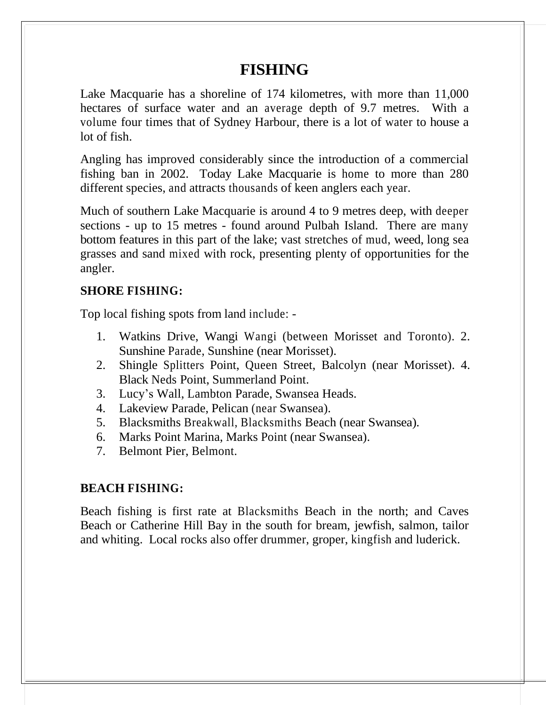# **FISHING**

Lake Macquarie has a shoreline of 174 kilometres, with more than 11,000 hectares of surface water and an average depth of 9.7 metres. With a volume four times that of Sydney Harbour, there is a lot of water to house a lot of fish.

Angling has improved considerably since the introduction of a commercial fishing ban in 2002. Today Lake Macquarie is home to more than 280 different species, and attracts thousands of keen anglers each year.

Much of southern Lake Macquarie is around 4 to 9 metres deep, with deeper sections - up to 15 metres - found around Pulbah Island. There are many bottom features in this part of the lake; vast stretches of mud, weed, long sea grasses and sand mixed with rock, presenting plenty of opportunities for the angler.

# **SHORE FISHING:**

Top local fishing spots from land include: -

- 1. Watkins Drive, Wangi Wangi (between Morisset and Toronto). 2. Sunshine Parade, Sunshine (near Morisset).
- 2. Shingle Splitters Point, Queen Street, Balcolyn (near Morisset). 4. Black Neds Point, Summerland Point.
- 3. Lucy's Wall, Lambton Parade, Swansea Heads.
- 4. Lakeview Parade, Pelican (near Swansea).
- 5. Blacksmiths Breakwall, Blacksmiths Beach (near Swansea).
- 6. Marks Point Marina, Marks Point (near Swansea).
- 7. Belmont Pier, Belmont.

# **BEACH FISHING:**

Beach fishing is first rate at Blacksmiths Beach in the north; and Caves Beach or Catherine Hill Bay in the south for bream, jewfish, salmon, tailor and whiting. Local rocks also offer drummer, groper, kingfish and luderick.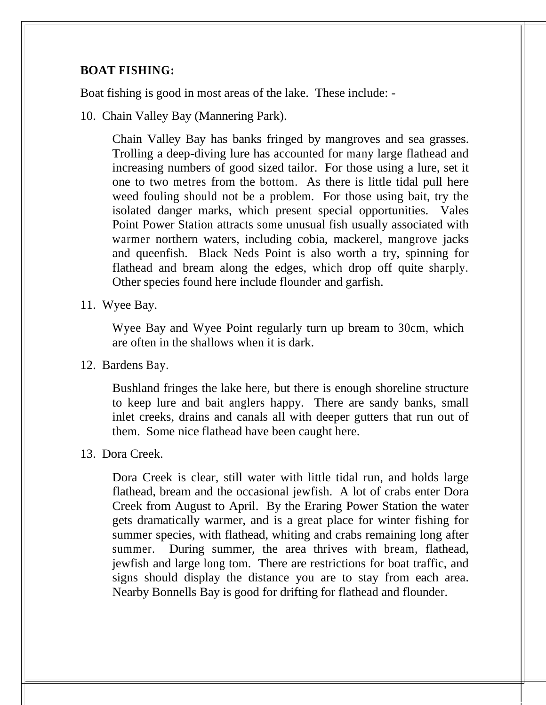# **BOAT FISHING:**

Boat fishing is good in most areas of the lake. These include: -

10. Chain Valley Bay (Mannering Park).

Chain Valley Bay has banks fringed by mangroves and sea grasses. Trolling a deep-diving lure has accounted for many large flathead and increasing numbers of good sized tailor. For those using a lure, set it one to two metres from the bottom. As there is little tidal pull here weed fouling should not be a problem. For those using bait, try the isolated danger marks, which present special opportunities. Vales Point Power Station attracts some unusual fish usually associated with warmer northern waters, including cobia, mackerel, mangrove jacks and queenfish. Black Neds Point is also worth a try, spinning for flathead and bream along the edges, which drop off quite sharply. Other species found here include flounder and garfish.

11. Wyee Bay.

Wyee Bay and Wyee Point regularly turn up bream to 30cm, which are often in the shallows when it is dark.

12. Bardens Bay.

Bushland fringes the lake here, but there is enough shoreline structure to keep lure and bait anglers happy. There are sandy banks, small inlet creeks, drains and canals all with deeper gutters that run out of them. Some nice flathead have been caught here.

13. Dora Creek.

Dora Creek is clear, still water with little tidal run, and holds large flathead, bream and the occasional jewfish. A lot of crabs enter Dora Creek from August to April. By the Eraring Power Station the water gets dramatically warmer, and is a great place for winter fishing for summer species, with flathead, whiting and crabs remaining long after summer. During summer, the area thrives with bream, flathead, jewfish and large long tom. There are restrictions for boat traffic, and signs should display the distance you are to stay from each area. Nearby Bonnells Bay is good for drifting for flathead and flounder.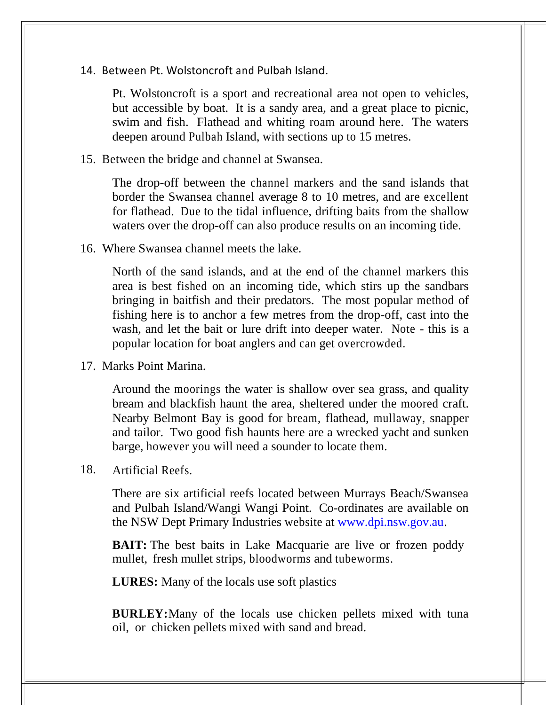14. Between Pt. Wolstoncroft and Pulbah Island.

Pt. Wolstoncroft is a sport and recreational area not open to vehicles, but accessible by boat. It is a sandy area, and a great place to picnic, swim and fish. Flathead and whiting roam around here. The waters deepen around Pulbah Island, with sections up to 15 metres.

15. Between the bridge and channel at Swansea.

The drop-off between the channel markers and the sand islands that border the Swansea channel average 8 to 10 metres, and are excellent for flathead. Due to the tidal influence, drifting baits from the shallow waters over the drop-off can also produce results on an incoming tide.

16. Where Swansea channel meets the lake.

North of the sand islands, and at the end of the channel markers this area is best fished on an incoming tide, which stirs up the sandbars bringing in baitfish and their predators. The most popular method of fishing here is to anchor a few metres from the drop-off, cast into the wash, and let the bait or lure drift into deeper water. Note - this is a popular location for boat anglers and can get overcrowded.

17. Marks Point Marina.

Around the moorings the water is shallow over sea grass, and quality bream and blackfish haunt the area, sheltered under the moored craft. Nearby Belmont Bay is good for bream, flathead, mullaway, snapper and tailor. Two good fish haunts here are a wrecked yacht and sunken barge, however you will need a sounder to locate them.

18. Artificial Reefs.

There are six artificial reefs located between Murrays Beach/Swansea and Pulbah Island/Wangi Wangi Point. Co-ordinates are available on the NSW Dept Primary Industries website at [www.dpi.nsw.gov.au.](http://www.dpi.nsw.gov.au/)

**BAIT:** The best baits in Lake Macquarie are live or frozen poddy mullet, fresh mullet strips, bloodworms and tubeworms.

**LURES:** Many of the locals use soft plastics

**BURLEY:**Many of the locals use chicken pellets mixed with tuna oil, or chicken pellets mixed with sand and bread.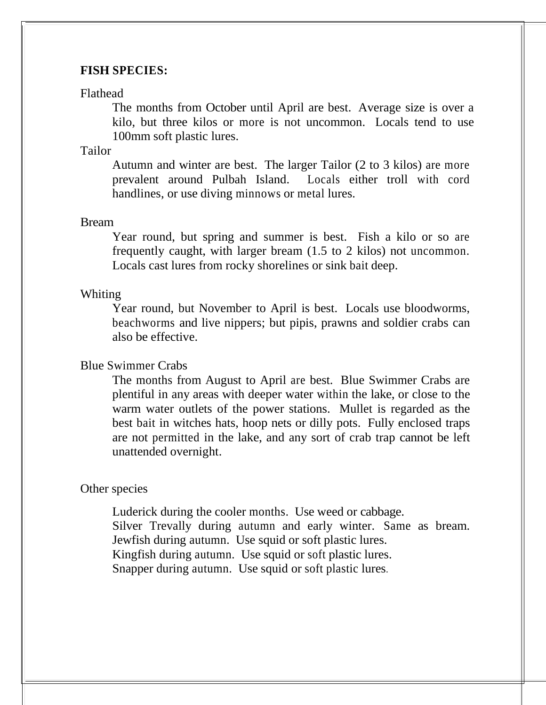## **FISH SPECIES:**

#### Flathead

The months from October until April are best. Average size is over a kilo, but three kilos or more is not uncommon. Locals tend to use 100mm soft plastic lures.

# Tailor

Autumn and winter are best. The larger Tailor (2 to 3 kilos) are more prevalent around Pulbah Island. Locals either troll with cord handlines, or use diving minnows or metal lures.

#### Bream

Year round, but spring and summer is best. Fish a kilo or so are frequently caught, with larger bream (1.5 to 2 kilos) not uncommon. Locals cast lures from rocky shorelines or sink bait deep.

#### Whiting

Year round, but November to April is best. Locals use bloodworms, beachworms and live nippers; but pipis, prawns and soldier crabs can also be effective.

### Blue Swimmer Crabs

The months from August to April are best. Blue Swimmer Crabs are plentiful in any areas with deeper water within the lake, or close to the warm water outlets of the power stations. Mullet is regarded as the best bait in witches hats, hoop nets or dilly pots. Fully enclosed traps are not permitted in the lake, and any sort of crab trap cannot be left unattended overnight.

### Other species

Luderick during the cooler months. Use weed or cabbage. Silver Trevally during autumn and early winter. Same as bream. Jewfish during autumn. Use squid or soft plastic lures. Kingfish during autumn. Use squid or soft plastic lures. Snapper during autumn. Use squid or soft plastic lures.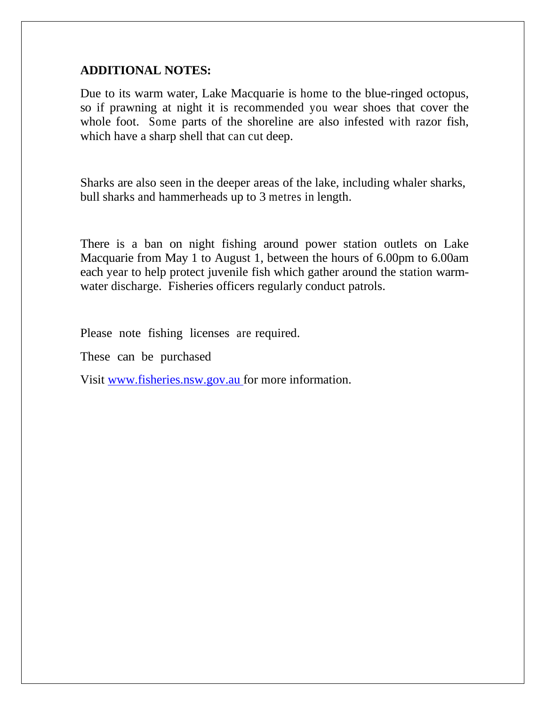# **ADDITIONAL NOTES:**

Due to its warm water, Lake Macquarie is home to the blue-ringed octopus, so if prawning at night it is recommended you wear shoes that cover the whole foot. Some parts of the shoreline are also infested with razor fish, which have a sharp shell that can cut deep.

Sharks are also seen in the deeper areas of the lake, including whaler sharks, bull sharks and hammerheads up to 3 metres in length.

There is a ban on night fishing around power station outlets on Lake Macquarie from May 1 to August 1, between the hours of 6.00pm to 6.00am each year to help protect juvenile fish which gather around the station warmwater discharge. Fisheries officers regularly conduct patrols.

Please note fishing licenses are required.

These can be purchased

Visit [www.fisheries.nsw.gov.au](http://www.fisheries.nsw.gov.au/) for more information.